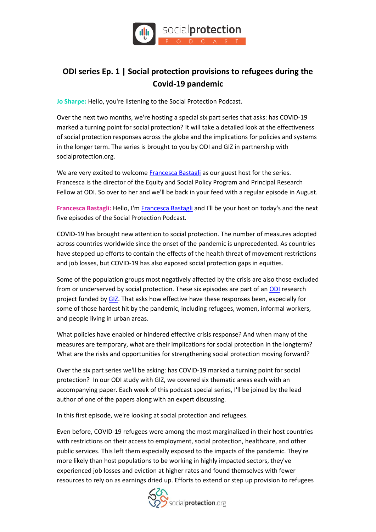

## **ODI series Ep. 1 | Social protection provisions to refugees during the Covid-19 pandemic**

**Jo Sharpe:** Hello, you're listening to the Social Protection Podcast.

Over the next two months, we're hosting a special six part series that asks: has COVID-19 marked a turning point for social protection? It will take a detailed look at the effectiveness of social protection responses across the globe and the implications for policies and systems in the longer term. The series is brought to you by ODI and GIZ in partnership with socialprotection.org.

We are very excited to welcom[e Francesca Bastagli](https://socialprotection.org/connect/members/francesca-bastagli) as our guest host for the series. Francesca is the director of the Equity and Social Policy Program and Principal Research Fellow at ODI. So over to her and we'll be back in your feed with a regular episode in August.

**Francesca Bastagli:** Hello, I'[m Francesca Bastagli](https://socialprotection.org/connect/members/francesca-bastagli) and I'll be your host on today's and the next five episodes of the Social Protection Podcast.

COVID-19 has brought new attention to social protection. The number of measures adopted across countries worldwide since the onset of the pandemic is unprecedented. As countries have stepped up efforts to contain the effects of the health threat of movement restrictions and job losses, but COVID-19 has also exposed social protection gaps in equities.

Some of the population groups most negatively affected by the crisis are also those excluded from or underserved by social protection. These six episodes are part of a[n ODI](https://socialprotection.org/connect/stakeholders/odi) research project funded by [GIZ.](https://socialprotection.org/connect/stakeholders/deutsche-gesellschaft-f%C3%BCr-internationale-zusammenarbeit-giz-gmbh-behalf-german) That asks how effective have these responses been, especially for some of those hardest hit by the pandemic, including refugees, women, informal workers, and people living in urban areas.

What policies have enabled or hindered effective crisis response? And when many of the measures are temporary, what are their implications for social protection in the longterm? What are the risks and opportunities for strengthening social protection moving forward?

Over the six part series we'll be asking: has COVID-19 marked a turning point for social protection? In our ODI study with GIZ, we covered six thematic areas each with an accompanying paper. Each week of this podcast special series, I'll be joined by the lead author of one of the papers along with an expert discussing.

In this first episode, we're looking at social protection and refugees.

Even before, COVID-19 refugees were among the most marginalized in their host countries with restrictions on their access to employment, social protection, healthcare, and other public services. This left them especially exposed to the impacts of the pandemic. They're more likely than host populations to be working in highly impacted sectors, they've experienced job losses and eviction at higher rates and found themselves with fewer resources to rely on as earnings dried up. Efforts to extend or step up provision to refugees

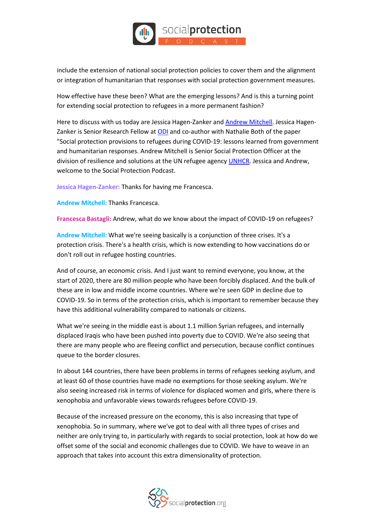

include the extension of national social protection policies to cover them and the alignment or integration of humanitarian that responses with social protection government measures.

How effective have these been? What are the emerging lessons? And is this a turning point for extending social protection to refugees in a more permanent fashion?

Here to discuss with us today are Jessica Hagen-Zanker and [Andrew Mitchell.](https://socialprotection.org/connect/members/andrew-mitchell) Jessica HagenZanker is Senior Research Fellow a[t ODI](https://socialprotection.org/connect/stakeholders/odi) and co-author with Nathalie Both of the paper "Social protection provisions to refugees during COVID-19: lessons learned from government and humanitarian responses. Andrew Mitchell is Senior Social Protection Officer at the division of resilience and solutions at the UN refugee agency [UNHCR.](https://socialprotection.org/connect/stakeholders/united-nations-high-commissioner-refugees-unhcr) Jessica and Andrew, welcome to the Social Protection Podcast.

**Jessica Hagen-Zanker:** Thanks for having me Francesca.

**Andrew Mitchell:** Thanks Francesca.

**Francesca Bastagli:** Andrew, what do we know about the impact of COVID-19 on refugees?

**Andrew Mitchell:** What we're seeing basically is a conjunction of three crises. It's a protection crisis. There's a health crisis, which is now extending to how vaccinations do or don't roll out in refugee hosting countries.

And of course, an economic crisis. And I just want to remind everyone, you know, at the start of 2020, there are 80 million people who have been forcibly displaced. And the bulk of these are in low and middle income countries. Where we're seen GDP in decline due to COVID-19. So in terms of the protection crisis, which is important to remember because they have this additional vulnerability compared to nationals or citizens.

What we're seeing in the middle east is about 1.1 million Syrian refugees, and internally displaced Iraqis who have been pushed into poverty due to COVID. We're also seeing that there are many people who are fleeing conflict and persecution, because conflict continues queue to the border closures.

In about 144 countries, there have been problems in terms of refugees seeking asylum, and at least 60 of those countries have made no exemptions for those seeking asylum. We're also seeing increased risk in terms of violence for displaced women and girls, where there is xenophobia and unfavorable views towards refugees before COVID-19.

Because of the increased pressure on the economy, this is also increasing that type of xenophobia. So in summary, where we've got to deal with all three types of crises and neither are only trying to, in particularly with regards to social protection, look at how do we offset some of the social and economic challenges due to COVID. We have to weave in an approach that takes into account this extra dimensionality of protection.

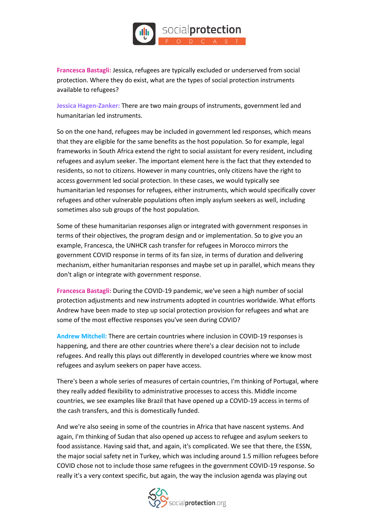

**Francesca Bastagli:** Jessica, refugees are typically excluded or underserved from social protection. Where they do exist, what are the types of social protection instruments available to refugees?

**Jessica Hagen-Zanker:** There are two main groups of instruments, government led and humanitarian led instruments.

So on the one hand, refugees may be included in government led responses, which means that they are eligible for the same benefits as the host population. So for example, legal frameworks in South Africa extend the right to social assistant for every resident, including refugees and asylum seeker. The important element here is the fact that they extended to residents, so not to citizens. However in many countries, only citizens have the right to access government led social protection. In these cases, we would typically see humanitarian led responses for refugees, either instruments, which would specifically cover refugees and other vulnerable populations often imply asylum seekers as well, including sometimes also sub groups of the host population.

Some of these humanitarian responses align or integrated with government responses in terms of their objectives, the program design and or implementation. So to give you an example, Francesca, the UNHCR cash transfer for refugees in Morocco mirrors the government COVID response in terms of its fan size, in terms of duration and delivering mechanism, either humanitarian responses and maybe set up in parallel, which means they don't align or integrate with government response.

**Francesca Bastagli:** During the COVID-19 pandemic, we've seen a high number of social protection adjustments and new instruments adopted in countries worldwide. What efforts Andrew have been made to step up social protection provision for refugees and what are some of the most effective responses you've seen during COVID?

**Andrew Mitchell:** There are certain countries where inclusion in COVID-19 responses is happening, and there are other countries where there's a clear decision not to include refugees. And really this plays out differently in developed countries where we know most refugees and asylum seekers on paper have access.

There's been a whole series of measures of certain countries, I'm thinking of Portugal, where they really added flexibility to administrative processes to access this. Middle income countries, we see examples like Brazil that have opened up a COVID-19 access in terms of the cash transfers, and this is domestically funded.

And we're also seeing in some of the countries in Africa that have nascent systems. And again, I'm thinking of Sudan that also opened up access to refugee and asylum seekers to food assistance. Having said that, and again, it's complicated. We see that there, the ESSN, the major social safety net in Turkey, which was including around 1.5 million refugees before COVID chose not to include those same refugees in the government COVID-19 response. So really it's a very context specific, but again, the way the inclusion agenda was playing out

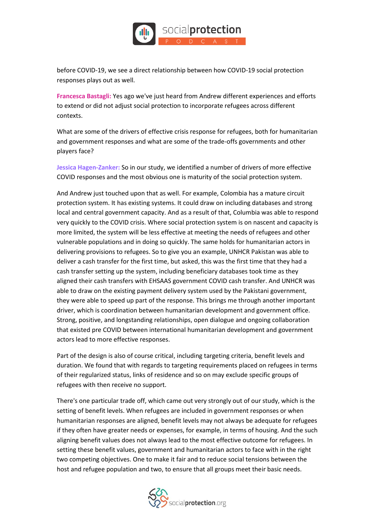

before COVID-19, we see a direct relationship between how COVID-19 social protection responses plays out as well.

**Francesca Bastagli:** Yes ago we've just heard from Andrew different experiences and efforts to extend or did not adjust social protection to incorporate refugees across different contexts.

What are some of the drivers of effective crisis response for refugees, both for humanitarian and government responses and what are some of the trade-offs governments and other players face?

**Jessica Hagen-Zanker:** So in our study, we identified a number of drivers of more effective COVID responses and the most obvious one is maturity of the social protection system.

And Andrew just touched upon that as well. For example, Colombia has a mature circuit protection system. It has existing systems. It could draw on including databases and strong local and central government capacity. And as a result of that, Columbia was able to respond very quickly to the COVID crisis. Where social protection system is on nascent and capacity is more limited, the system will be less effective at meeting the needs of refugees and other vulnerable populations and in doing so quickly. The same holds for humanitarian actors in delivering provisions to refugees. So to give you an example, UNHCR Pakistan was able to deliver a cash transfer for the first time, but asked, this was the first time that they had a cash transfer setting up the system, including beneficiary databases took time as they aligned their cash transfers with EHSAAS government COVID cash transfer. And UNHCR was able to draw on the existing payment delivery system used by the Pakistani government, they were able to speed up part of the response. This brings me through another important driver, which is coordination between humanitarian development and government office. Strong, positive, and longstanding relationships, open dialogue and ongoing collaboration that existed pre COVID between international humanitarian development and government actors lead to more effective responses.

Part of the design is also of course critical, including targeting criteria, benefit levels and duration. We found that with regards to targeting requirements placed on refugees in terms of their regularized status, links of residence and so on may exclude specific groups of refugees with then receive no support.

There's one particular trade off, which came out very strongly out of our study, which is the setting of benefit levels. When refugees are included in government responses or when humanitarian responses are aligned, benefit levels may not always be adequate for refugees if they often have greater needs or expenses, for example, in terms of housing. And the such aligning benefit values does not always lead to the most effective outcome for refugees. In setting these benefit values, government and humanitarian actors to face with in the right two competing objectives. One to make it fair and to reduce social tensions between the host and refugee population and two, to ensure that all groups meet their basic needs.

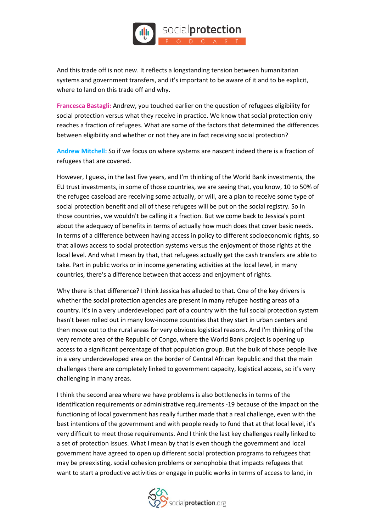

And this trade off is not new. It reflects a longstanding tension between humanitarian systems and government transfers, and it's important to be aware of it and to be explicit, where to land on this trade off and why.

**Francesca Bastagli:** Andrew, you touched earlier on the question of refugees eligibility for social protection versus what they receive in practice. We know that social protection only reaches a fraction of refugees. What are some of the factors that determined the differences between eligibility and whether or not they are in fact receiving social protection?

**Andrew Mitchell:** So if we focus on where systems are nascent indeed there is a fraction of refugees that are covered.

However, I guess, in the last five years, and I'm thinking of the World Bank investments, the EU trust investments, in some of those countries, we are seeing that, you know, 10 to 50% of the refugee caseload are receiving some actually, or will, are a plan to receive some type of social protection benefit and all of these refugees will be put on the social registry. So in those countries, we wouldn't be calling it a fraction. But we come back to Jessica's point about the adequacy of benefits in terms of actually how much does that cover basic needs. In terms of a difference between having access in policy to different socioeconomic rights, so that allows access to social protection systems versus the enjoyment of those rights at the local level. And what I mean by that, that refugees actually get the cash transfers are able to take. Part in public works or in income generating activities at the local level, in many countries, there's a difference between that access and enjoyment of rights.

Why there is that difference? I think Jessica has alluded to that. One of the key drivers is whether the social protection agencies are present in many refugee hosting areas of a country. It's in a very underdeveloped part of a country with the full social protection system hasn't been rolled out in many low-income countries that they start in urban centers and then move out to the rural areas for very obvious logistical reasons. And I'm thinking of the very remote area of the Republic of Congo, where the World Bank project is opening up access to a significant percentage of that population group. But the bulk of those people live in a very underdeveloped area on the border of Central African Republic and that the main challenges there are completely linked to government capacity, logistical access, so it's very challenging in many areas.

I think the second area where we have problems is also bottlenecks in terms of the identification requirements or administrative requirements -19 because of the impact on the functioning of local government has really further made that a real challenge, even with the best intentions of the government and with people ready to fund that at that local level, it's very difficult to meet those requirements. And I think the last key challenges really linked to a set of protection issues. What I mean by that is even though the government and local government have agreed to open up different social protection programs to refugees that may be preexisting, social cohesion problems or xenophobia that impacts refugees that want to start a productive activities or engage in public works in terms of access to land, in

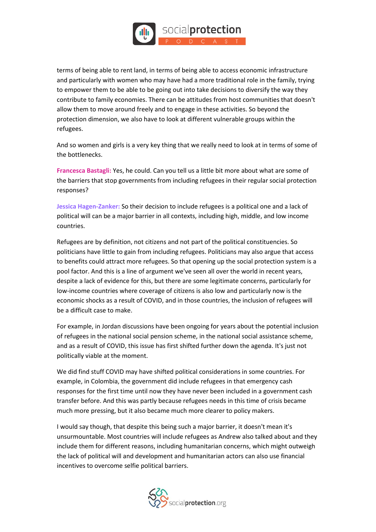

terms of being able to rent land, in terms of being able to access economic infrastructure and particularly with women who may have had a more traditional role in the family, trying to empower them to be able to be going out into take decisions to diversify the way they contribute to family economies. There can be attitudes from host communities that doesn't allow them to move around freely and to engage in these activities. So beyond the protection dimension, we also have to look at different vulnerable groups within the refugees.

And so women and girls is a very key thing that we really need to look at in terms of some of the bottlenecks.

**Francesca Bastagli:** Yes, he could. Can you tell us a little bit more about what are some of the barriers that stop governments from including refugees in their regular social protection responses?

**Jessica Hagen-Zanker:** So their decision to include refugees is a political one and a lack of political will can be a major barrier in all contexts, including high, middle, and low income countries.

Refugees are by definition, not citizens and not part of the political constituencies. So politicians have little to gain from including refugees. Politicians may also argue that access to benefits could attract more refugees. So that opening up the social protection system is a pool factor. And this is a line of argument we've seen all over the world in recent years, despite a lack of evidence for this, but there are some legitimate concerns, particularly for low-income countries where coverage of citizens is also low and particularly now is the economic shocks as a result of COVID, and in those countries, the inclusion of refugees will be a difficult case to make.

For example, in Jordan discussions have been ongoing for years about the potential inclusion of refugees in the national social pension scheme, in the national social assistance scheme, and as a result of COVID, this issue has first shifted further down the agenda. It's just not politically viable at the moment.

We did find stuff COVID may have shifted political considerations in some countries. For example, in Colombia, the government did include refugees in that emergency cash responses for the first time until now they have never been included in a government cash transfer before. And this was partly because refugees needs in this time of crisis became much more pressing, but it also became much more clearer to policy makers.

I would say though, that despite this being such a major barrier, it doesn't mean it's unsurmountable. Most countries will include refugees as Andrew also talked about and they include them for different reasons, including humanitarian concerns, which might outweigh the lack of political will and development and humanitarian actors can also use financial incentives to overcome selfie political barriers.

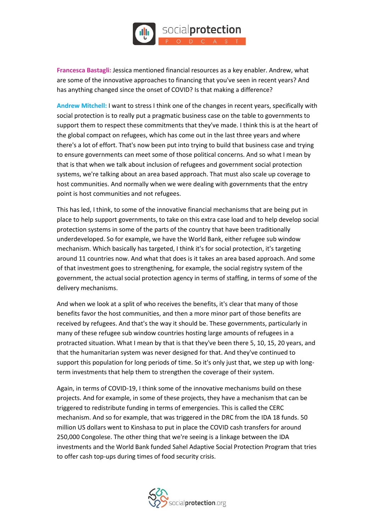

**Francesca Bastagli:** Jessica mentioned financial resources as a key enabler. Andrew, what are some of the innovative approaches to financing that you've seen in recent years? And has anything changed since the onset of COVID? Is that making a difference?

**Andrew Mitchell:** I want to stress I think one of the changes in recent years, specifically with social protection is to really put a pragmatic business case on the table to governments to support them to respect these commitments that they've made. I think this is at the heart of the global compact on refugees, which has come out in the last three years and where there's a lot of effort. That's now been put into trying to build that business case and trying to ensure governments can meet some of those political concerns. And so what I mean by that is that when we talk about inclusion of refugees and government social protection systems, we're talking about an area based approach. That must also scale up coverage to host communities. And normally when we were dealing with governments that the entry point is host communities and not refugees.

This has led, I think, to some of the innovative financial mechanisms that are being put in place to help support governments, to take on this extra case load and to help develop social protection systems in some of the parts of the country that have been traditionally underdeveloped. So for example, we have the World Bank, either refugee sub window mechanism. Which basically has targeted, I think it's for social protection, it's targeting around 11 countries now. And what that does is it takes an area based approach. And some of that investment goes to strengthening, for example, the social registry system of the government, the actual social protection agency in terms of staffing, in terms of some of the delivery mechanisms.

And when we look at a split of who receives the benefits, it's clear that many of those benefits favor the host communities, and then a more minor part of those benefits are received by refugees. And that's the way it should be. These governments, particularly in many of these refugee sub window countries hosting large amounts of refugees in a protracted situation. What I mean by that is that they've been there 5, 10, 15, 20 years, and that the humanitarian system was never designed for that. And they've continued to support this population for long periods of time. So it's only just that, we step up with longterm investments that help them to strengthen the coverage of their system.

Again, in terms of COVID-19, I think some of the innovative mechanisms build on these projects. And for example, in some of these projects, they have a mechanism that can be triggered to redistribute funding in terms of emergencies. This is called the CERC mechanism. And so for example, that was triggered in the DRC from the IDA 18 funds. 50 million US dollars went to Kinshasa to put in place the COVID cash transfers for around 250,000 Congolese. The other thing that we're seeing is a linkage between the IDA investments and the World Bank funded Sahel Adaptive Social Protection Program that tries to offer cash top-ups during times of food security crisis.

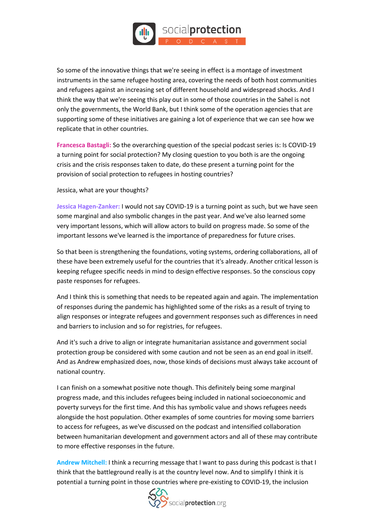

So some of the innovative things that we're seeing in effect is a montage of investment instruments in the same refugee hosting area, covering the needs of both host communities and refugees against an increasing set of different household and widespread shocks. And I think the way that we're seeing this play out in some of those countries in the Sahel is not only the governments, the World Bank, but I think some of the operation agencies that are supporting some of these initiatives are gaining a lot of experience that we can see how we replicate that in other countries.

**Francesca Bastagli:** So the overarching question of the special podcast series is: Is COVID-19 a turning point for social protection? My closing question to you both is are the ongoing crisis and the crisis responses taken to date, do these present a turning point for the provision of social protection to refugees in hosting countries?

Jessica, what are your thoughts?

**Jessica Hagen-Zanker:** I would not say COVID-19 is a turning point as such, but we have seen some marginal and also symbolic changes in the past year. And we've also learned some very important lessons, which will allow actors to build on progress made. So some of the important lessons we've learned is the importance of preparedness for future crises.

So that been is strengthening the foundations, voting systems, ordering collaborations, all of these have been extremely useful for the countries that it's already. Another critical lesson is keeping refugee specific needs in mind to design effective responses. So the conscious copy paste responses for refugees.

And I think this is something that needs to be repeated again and again. The implementation of responses during the pandemic has highlighted some of the risks as a result of trying to align responses or integrate refugees and government responses such as differences in need and barriers to inclusion and so for registries, for refugees.

And it's such a drive to align or integrate humanitarian assistance and government social protection group be considered with some caution and not be seen as an end goal in itself. And as Andrew emphasized does, now, those kinds of decisions must always take account of national country.

I can finish on a somewhat positive note though. This definitely being some marginal progress made, and this includes refugees being included in national socioeconomic and poverty surveys for the first time. And this has symbolic value and shows refugees needs alongside the host population. Other examples of some countries for moving some barriers to access for refugees, as we've discussed on the podcast and intensified collaboration between humanitarian development and government actors and all of these may contribute to more effective responses in the future.

**Andrew Mitchell:** I think a recurring message that I want to pass during this podcast is that I think that the battleground really is at the country level now. And to simplify I think it is potential a turning point in those countries where pre-existing to COVID-19, the inclusion

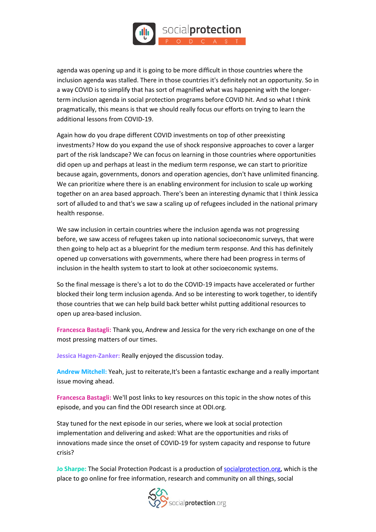

agenda was opening up and it is going to be more difficult in those countries where the inclusion agenda was stalled. There in those countries it's definitely not an opportunity. So in a way COVID is to simplify that has sort of magnified what was happening with the longerterm inclusion agenda in social protection programs before COVID hit. And so what I think pragmatically, this means is that we should really focus our efforts on trying to learn the additional lessons from COVID-19.

Again how do you drape different COVID investments on top of other preexisting investments? How do you expand the use of shock responsive approaches to cover a larger part of the risk landscape? We can focus on learning in those countries where opportunities did open up and perhaps at least in the medium term response, we can start to prioritize because again, governments, donors and operation agencies, don't have unlimited financing. We can prioritize where there is an enabling environment for inclusion to scale up working together on an area based approach. There's been an interesting dynamic that I think Jessica sort of alluded to and that's we saw a scaling up of refugees included in the national primary health response.

We saw inclusion in certain countries where the inclusion agenda was not progressing before, we saw access of refugees taken up into national socioeconomic surveys, that were then going to help act as a blueprint for the medium term response. And this has definitely opened up conversations with governments, where there had been progress in terms of inclusion in the health system to start to look at other socioeconomic systems.

So the final message is there's a lot to do the COVID-19 impacts have accelerated or further blocked their long term inclusion agenda. And so be interesting to work together, to identify those countries that we can help build back better whilst putting additional resources to open up area-based inclusion.

**Francesca Bastagli:** Thank you, Andrew and Jessica for the very rich exchange on one of the most pressing matters of our times.

**Jessica Hagen-Zanker:** Really enjoyed the discussion today.

**Andrew Mitchell:** Yeah, just to reiterate,It's been a fantastic exchange and a really important issue moving ahead.

**Francesca Bastagli:** We'll post links to key resources on this topic in the show notes of this episode, and you can find the ODI research since at ODI.org.

Stay tuned for the next episode in our series, where we look at social protection implementation and delivering and asked: What are the opportunities and risks of innovations made since the onset of COVID-19 for system capacity and response to future crisis?

**Jo Sharpe:** The Social Protection Podcast is a production o[f socialprotection.org,](https://socialprotection.org/) which is the place to go online for free information, research and community on all things, social